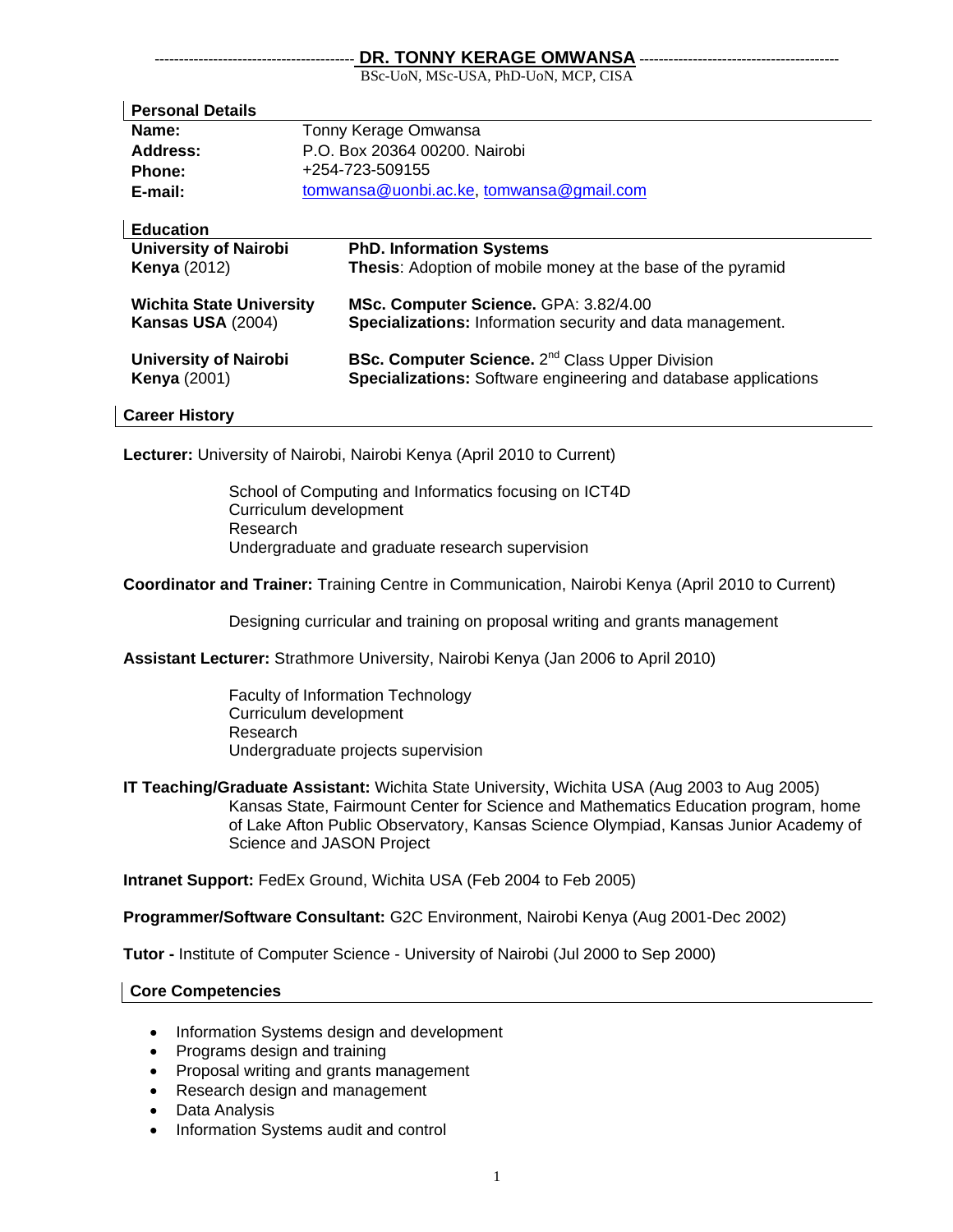## DR. TONNY KERAGE OMWANSA -

BSc-UoN, MSc-USA, PhD-UoN, MCP, CISA

| <b>Personal Details</b>                                     |                                          |                                                                                                                                              |
|-------------------------------------------------------------|------------------------------------------|----------------------------------------------------------------------------------------------------------------------------------------------|
| Name:                                                       | Tonny Kerage Omwansa                     |                                                                                                                                              |
| Address:                                                    | P.O. Box 20364 00200. Nairobi            |                                                                                                                                              |
| <b>Phone:</b>                                               | +254-723-509155                          |                                                                                                                                              |
| E-mail:                                                     | tomwansa@uonbi.ac.ke, tomwansa@gmail.com |                                                                                                                                              |
| <b>Education</b>                                            |                                          |                                                                                                                                              |
| <b>University of Nairobi</b>                                |                                          | <b>PhD. Information Systems</b>                                                                                                              |
| <b>Kenya</b> (2012)                                         |                                          | <b>Thesis:</b> Adoption of mobile money at the base of the pyramid                                                                           |
| <b>Wichita State University</b><br><b>Kansas USA (2004)</b> |                                          | MSc. Computer Science. GPA: 3.82/4.00<br><b>Specializations:</b> Information security and data management.                                   |
| <b>University of Nairobi</b><br><b>Kenya</b> (2001)         |                                          | <b>BSc. Computer Science.</b> 2 <sup>nd</sup> Class Upper Division<br><b>Specializations:</b> Software engineering and database applications |
| <b>Career History</b>                                       |                                          |                                                                                                                                              |

**Lecturer:** University of Nairobi, Nairobi Kenya (April 2010 to Current)

School of Computing and Informatics focusing on ICT4D Curriculum development Research Undergraduate and graduate research supervision

**Coordinator and Trainer:** Training Centre in Communication, Nairobi Kenya (April 2010 to Current)

Designing curricular and training on proposal writing and grants management

**Assistant Lecturer:** Strathmore University, Nairobi Kenya (Jan 2006 to April 2010)

Faculty of Information Technology Curriculum development Research Undergraduate projects supervision

**IT Teaching/Graduate Assistant:** Wichita State University, Wichita USA (Aug 2003 to Aug 2005) Kansas State, Fairmount Center for Science and Mathematics Education program, home of Lake Afton Public Observatory, Kansas Science Olympiad, Kansas Junior Academy of Science and JASON Project

**Intranet Support:** FedEx Ground, Wichita USA (Feb 2004 to Feb 2005)

**Programmer/Software Consultant:** G2C Environment, Nairobi Kenya (Aug 2001-Dec 2002)

**Tutor -** Institute of Computer Science - University of Nairobi (Jul 2000 to Sep 2000)

### **Core Competencies**

- Information Systems design and development
- Programs design and training
- Proposal writing and grants management
- Research design and management
- Data Analysis
- Information Systems audit and control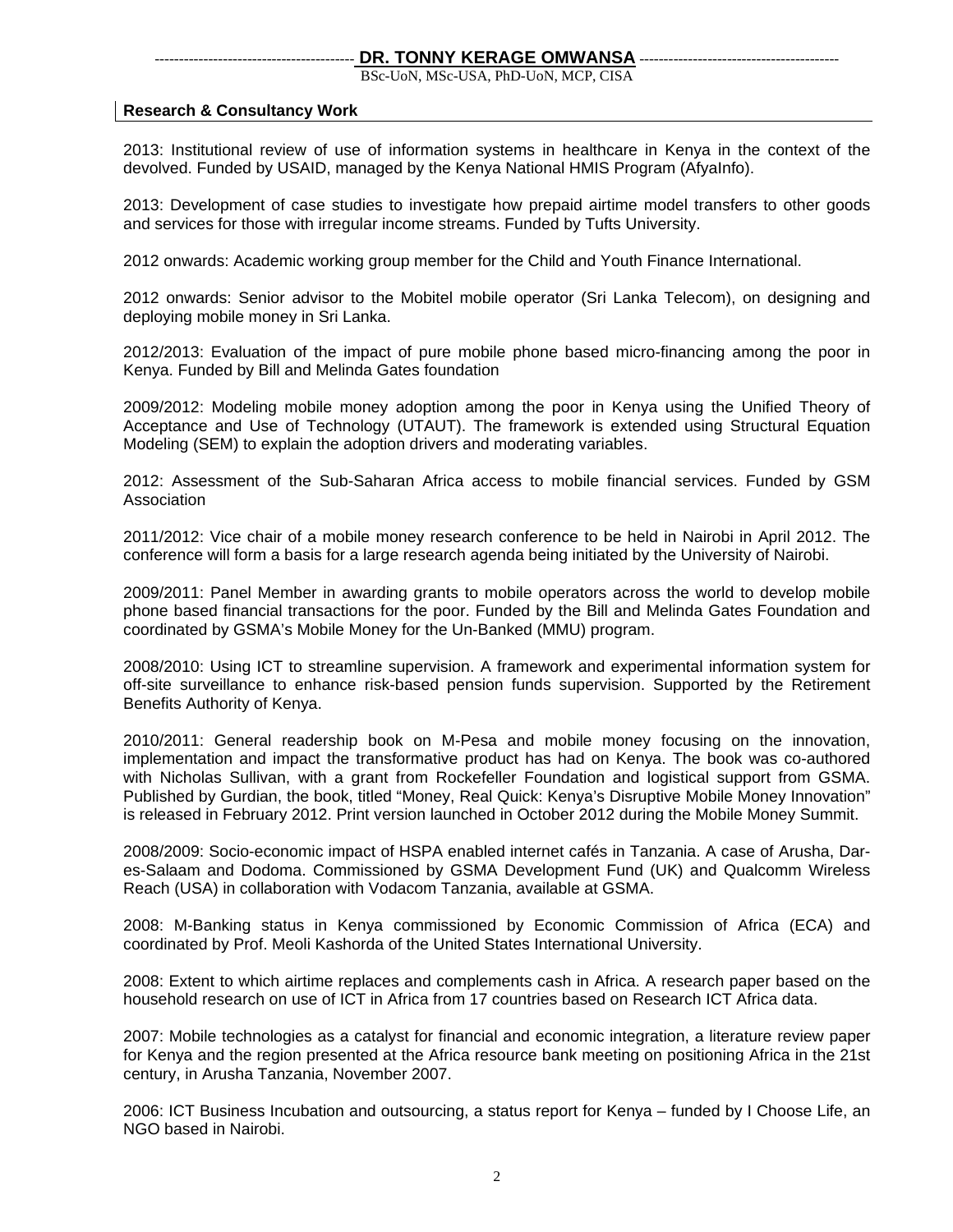### DR. TONNY KERAGE OMWANSA

BSc-UoN, MSc-USA, PhD-UoN, MCP, CISA

### **Research & Consultancy Work**

2013: Institutional review of use of information systems in healthcare in Kenya in the context of the devolved. Funded by USAID, managed by the Kenya National HMIS Program (AfyaInfo).

2013: Development of case studies to investigate how prepaid airtime model transfers to other goods and services for those with irregular income streams. Funded by Tufts University.

2012 onwards: Academic working group member for the Child and Youth Finance International.

2012 onwards: Senior advisor to the Mobitel mobile operator (Sri Lanka Telecom), on designing and deploying mobile money in Sri Lanka.

2012/2013: Evaluation of the impact of pure mobile phone based micro-financing among the poor in Kenya. Funded by Bill and Melinda Gates foundation

2009/2012: Modeling mobile money adoption among the poor in Kenya using the Unified Theory of Acceptance and Use of Technology (UTAUT). The framework is extended using Structural Equation Modeling (SEM) to explain the adoption drivers and moderating variables.

2012: Assessment of the Sub-Saharan Africa access to mobile financial services. Funded by GSM Association

2011/2012: Vice chair of a mobile money research conference to be held in Nairobi in April 2012. The conference will form a basis for a large research agenda being initiated by the University of Nairobi.

2009/2011: Panel Member in awarding grants to mobile operators across the world to develop mobile phone based financial transactions for the poor. Funded by the Bill and Melinda Gates Foundation and coordinated by GSMA's Mobile Money for the Un-Banked (MMU) program.

2008/2010: Using ICT to streamline supervision. A framework and experimental information system for off-site surveillance to enhance risk-based pension funds supervision. Supported by the Retirement Benefits Authority of Kenya.

2010/2011: General readership book on M-Pesa and mobile money focusing on the innovation, implementation and impact the transformative product has had on Kenya. The book was co-authored with Nicholas Sullivan, with a grant from Rockefeller Foundation and logistical support from GSMA. Published by Gurdian, the book, titled "Money, Real Quick: Kenya's Disruptive Mobile Money Innovation" is released in February 2012. Print version launched in October 2012 during the Mobile Money Summit.

2008/2009: Socio-economic impact of HSPA enabled internet cafés in Tanzania. A case of Arusha, Dares-Salaam and Dodoma. Commissioned by GSMA Development Fund (UK) and Qualcomm Wireless Reach (USA) in collaboration with Vodacom Tanzania, available at GSMA.

2008: M-Banking status in Kenya commissioned by Economic Commission of Africa (ECA) and coordinated by Prof. Meoli Kashorda of the United States International University.

2008: Extent to which airtime replaces and complements cash in Africa. A research paper based on the household research on use of ICT in Africa from 17 countries based on Research ICT Africa data.

2007: Mobile technologies as a catalyst for financial and economic integration, a literature review paper for Kenya and the region presented at the Africa resource bank meeting on positioning Africa in the 21st century, in Arusha Tanzania, November 2007.

2006: ICT Business Incubation and outsourcing, a status report for Kenya – funded by I Choose Life, an NGO based in Nairobi.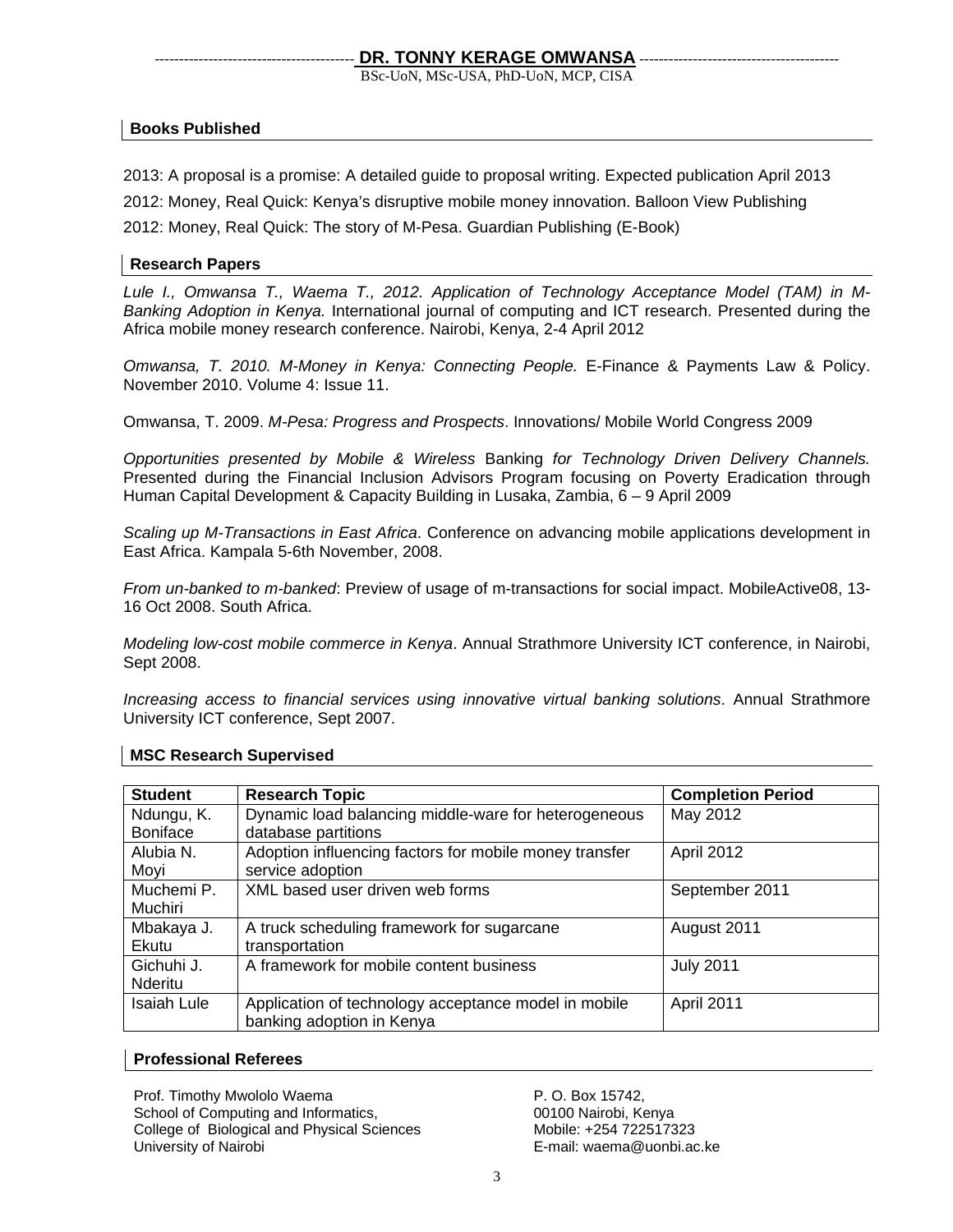BSc-UoN, MSc-USA, PhD-UoN, MCP, CISA

# **Books Published**

2013: A proposal is a promise: A detailed guide to proposal writing. Expected publication April 2013

2012: Money, Real Quick: Kenya's disruptive mobile money innovation. Balloon View Publishing

2012: Money, Real Quick: The story of M-Pesa. Guardian Publishing (E-Book)

# **Research Papers**

*Lule I., Omwansa T., Waema T., 2012. Application of Technology Acceptance Model (TAM) in M-Banking Adoption in Kenya.* International journal of computing and ICT research. Presented during the Africa mobile money research conference. Nairobi, Kenya, 2-4 April 2012

*Omwansa, T. 2010. M-Money in Kenya: Connecting People.* E-Finance & Payments Law & Policy. November 2010. Volume 4: Issue 11.

Omwansa, T. 2009. *M-Pesa: Progress and Prospects*. Innovations/ Mobile World Congress 2009

*Opportunities presented by Mobile & Wireless* Banking *for Technology Driven Delivery Channels.* Presented during the Financial Inclusion Advisors Program focusing on Poverty Eradication through Human Capital Development & Capacity Building in Lusaka, Zambia, 6 – 9 April 2009

*Scaling up M-Transactions in East Africa*. Conference on advancing mobile applications development in East Africa. Kampala 5-6th November, 2008.

*From un-banked to m-banked*: Preview of usage of m-transactions for social impact. MobileActive08, 13- 16 Oct 2008. South Africa.

*Modeling low-cost mobile commerce in Kenya*. Annual Strathmore University ICT conference, in Nairobi, Sept 2008.

*Increasing access to financial services using innovative virtual banking solutions*. Annual Strathmore University ICT conference, Sept 2007.

| <b>Student</b>                | <b>Research Topic</b>                                                             | <b>Completion Period</b> |
|-------------------------------|-----------------------------------------------------------------------------------|--------------------------|
| Ndungu, K.<br><b>Boniface</b> | Dynamic load balancing middle-ware for heterogeneous<br>database partitions       | May 2012                 |
| Alubia N.<br>Moyi             | Adoption influencing factors for mobile money transfer<br>service adoption        | April 2012               |
| Muchemi P.<br>Muchiri         | XML based user driven web forms                                                   | September 2011           |
| Mbakaya J.<br>Ekutu           | A truck scheduling framework for sugarcane<br>transportation                      | August 2011              |
| Gichuhi J.<br>Nderitu         | A framework for mobile content business                                           | <b>July 2011</b>         |
| <b>Isaiah Lule</b>            | Application of technology acceptance model in mobile<br>banking adoption in Kenya | April 2011               |

## **MSC Research Supervised**

### **Professional Referees**

Prof. Timothy Mwololo Waema School of Computing and Informatics, College of Biological and Physical Sciences University of Nairobi

P. O. Box 15742, 00100 Nairobi, Kenya Mobile: +254 722517323 E-mail: waema@uonbi.ac.ke